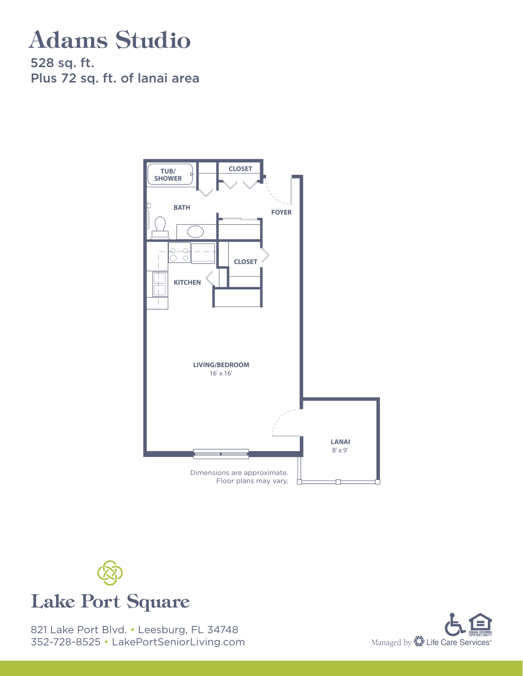# Adams Studio

528 sq. ft. Plus 72 sq. ft. of lanai area





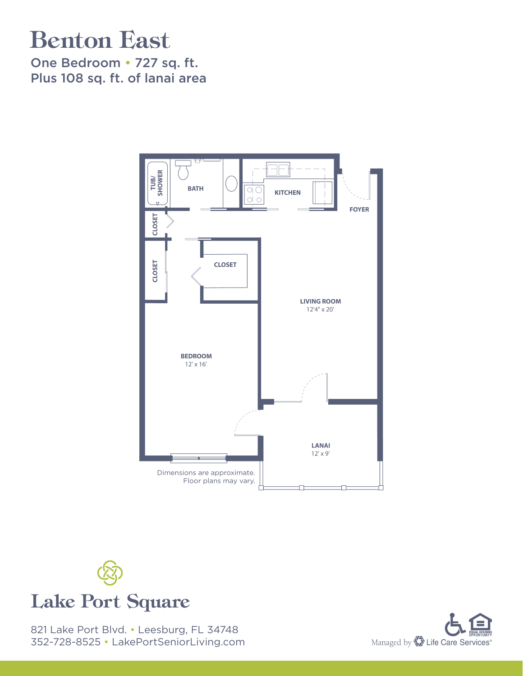# Benton East

One Bedroom • 727 sq. ft. Plus 108 sq. ft. of lanai area





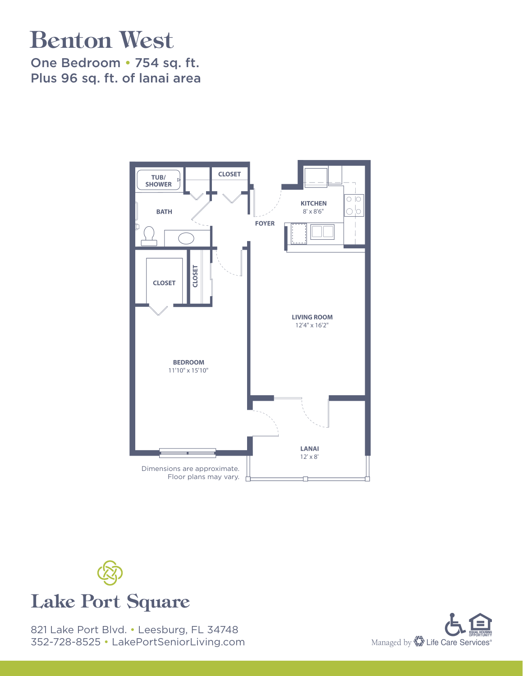# Benton West

One Bedroom • 754 sq. ft. Plus 96 sq. ft. of lanai area





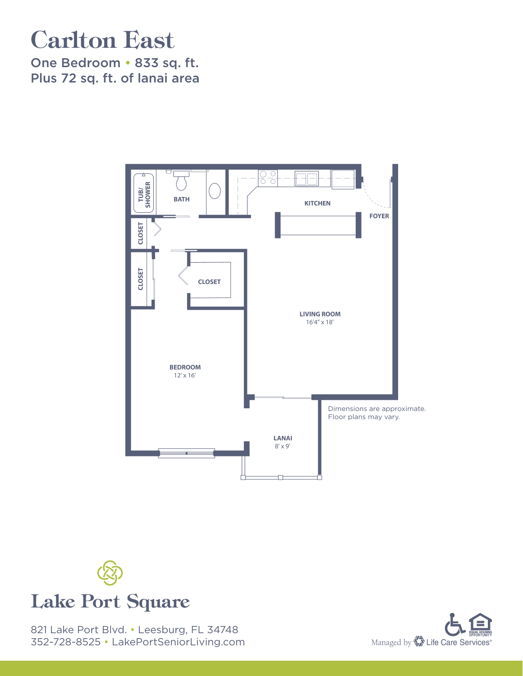# Carlton East

One Bedroom • 833 sq. ft. Plus 72 sq. ft. of lanai area





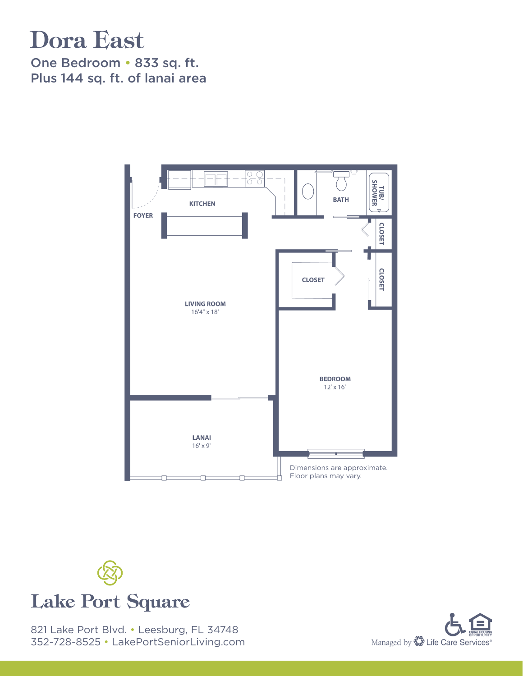#### Dora East

One Bedroom • 833 sq. ft. Plus 144 sq. ft. of lanai area





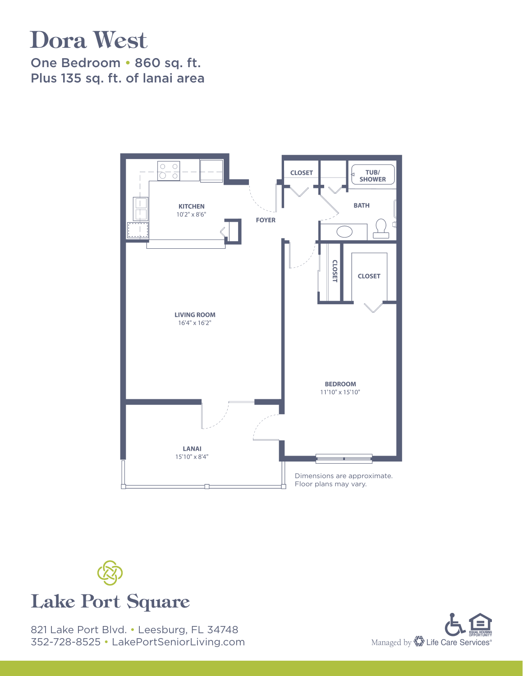# Dora West

One Bedroom • 860 sq. ft. Plus 135 sq. ft. of lanai area





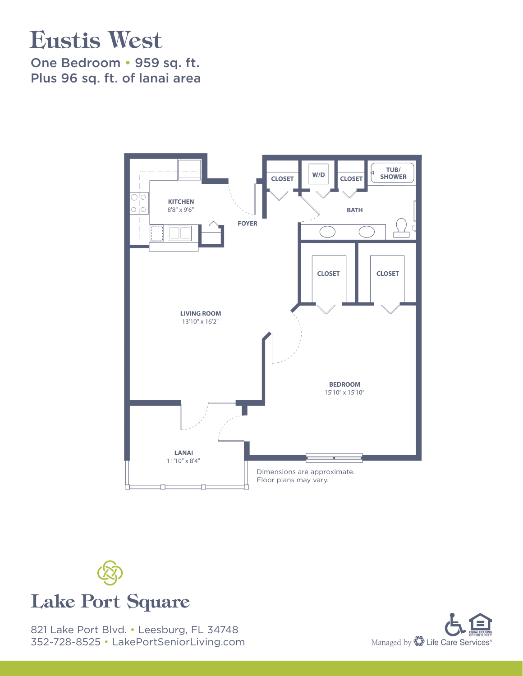#### Eustis West

One Bedroom • 959 sq. ft. Plus 96 sq. ft. of lanai area





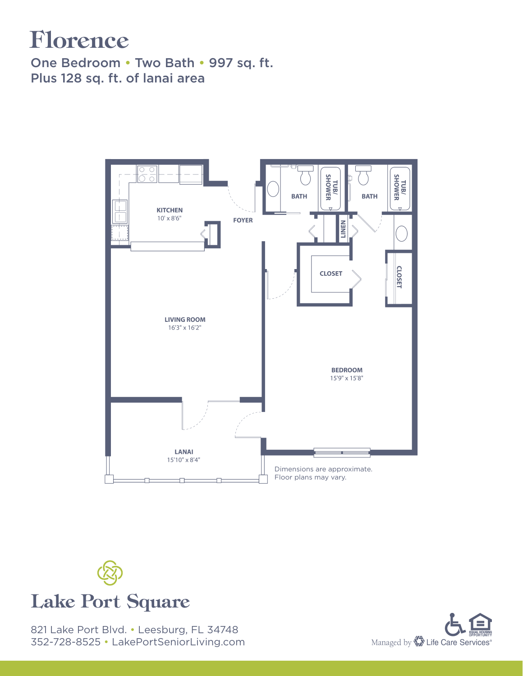# Florence

One Bedroom • Two Bath • 997 sq. ft. Plus 128 sq. ft. of lanai area





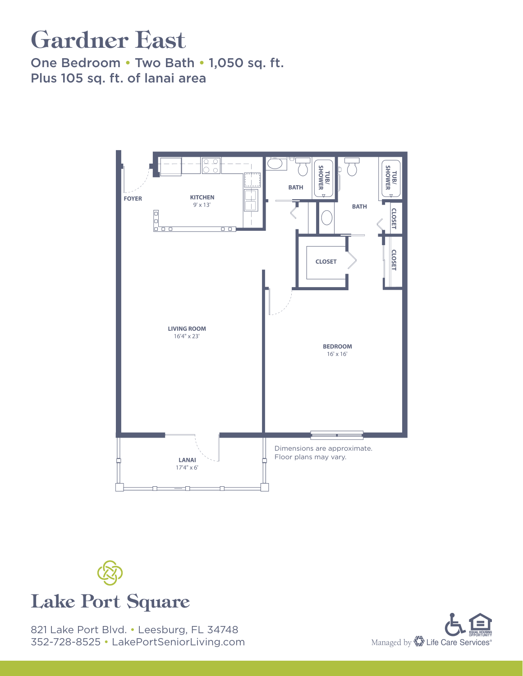# Gardner East

One Bedroom • Two Bath • 1,050 sq. ft. Plus 105 sq. ft. of lanai area





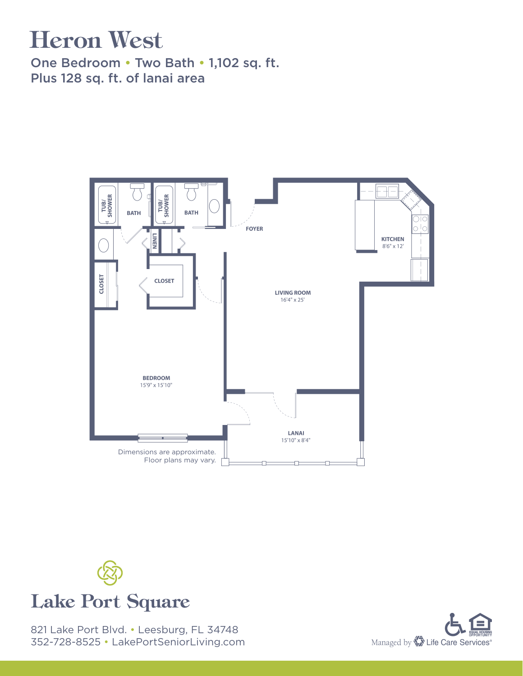# Heron West

One Bedroom • Two Bath • 1,102 sq. ft. Plus 128 sq. ft. of lanai area